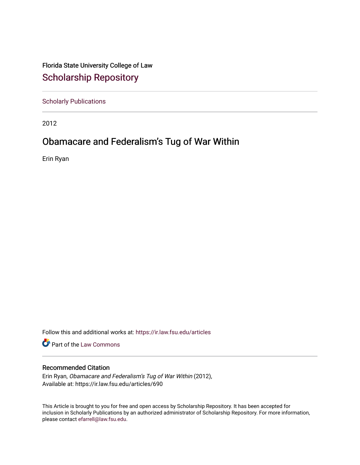Florida State University College of Law [Scholarship Repository](https://ir.law.fsu.edu/) 

[Scholarly Publications](https://ir.law.fsu.edu/articles) 

2012

## Obamacare and Federalism's Tug of War Within

Erin Ryan

Follow this and additional works at: [https://ir.law.fsu.edu/articles](https://ir.law.fsu.edu/articles?utm_source=ir.law.fsu.edu%2Farticles%2F690&utm_medium=PDF&utm_campaign=PDFCoverPages) 

Part of the [Law Commons](https://network.bepress.com/hgg/discipline/578?utm_source=ir.law.fsu.edu%2Farticles%2F690&utm_medium=PDF&utm_campaign=PDFCoverPages)

## Recommended Citation

Erin Ryan, Obamacare and Federalism's Tug of War Within (2012), Available at: https://ir.law.fsu.edu/articles/690

This Article is brought to you for free and open access by Scholarship Repository. It has been accepted for inclusion in Scholarly Publications by an authorized administrator of Scholarship Repository. For more information, please contact [efarrell@law.fsu.edu.](mailto:efarrell@law.fsu.edu)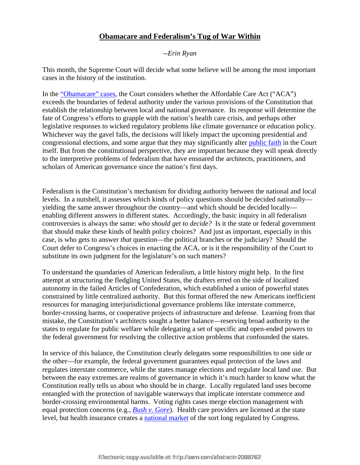## **Obamacare and Federalism's Tug of War Within**

## *--Erin Ryan*

This month, the Supreme Court will decide what some believe will be among the most important cases in the history of the institution.

In the "Obamacare" cases, the Court considers whether the Affordable Care Act ("ACA") exceeds the boundaries of federal authority under the various provisions of the Constitution that establish the relationship between local and national governance. Its response will determine the fate of Congress's efforts to grapple with the nation's health care crisis, and perhaps other legislative responses to wicked regulatory problems like climate governance or education policy. Whichever way the gavel falls, the decisions will likely impact the upcoming presidential and congressional elections, and some argue that they may significantly alter public faith in the Court itself. But from the constitutional perspective, they are important because they will speak directly to the interpretive problems of federalism that have ensnared the architects, practitioners, and scholars of American governance since the nation's first days.

Federalism is the Constitution's mechanism for dividing authority between the national and local levels. In a nutshell, it assesses which kinds of policy questions should be decided nationally yielding the same answer throughout the country—and which should be decided locally enabling different answers in different states. Accordingly, the basic inquiry in all federalism controversies is always the same: *who should get to decide?* Is it the state or federal government that should make these kinds of health policy choices? And just as important, especially in this case, is who gets to answer *that* question—the political branches or the judiciary? Should the Court defer to Congress's choices in enacting the ACA, or is it the responsibility of the Court to substitute its own judgment for the legislature's on such matters?

To understand the quandaries of American federalism, a little history might help. In the first attempt at structuring the fledgling United States, the drafters erred on the side of localized autonomy in the failed Articles of Confederation, which established a union of powerful states constrained by little centralized authority. But this format offered the new Americans inefficient resources for managing interjurisdictional governance problems like interstate commerce, border-crossing harms, or cooperative projects of infrastructure and defense. Learning from that mistake, the Constitution's architects sought a better balance—reserving broad authority to the states to regulate for public welfare while delegating a set of specific and open-ended powers to the federal government for resolving the collective action problems that confounded the states.

In service of this balance, the Constitution clearly delegates some responsibilities to one side or the other—for example, the federal government guarantees equal protection of the laws and regulates interstate commerce, while the states manage elections and regulate local land use. But between the easy extremes are realms of governance in which it's much harder to know what the Constitution really tells us about who should be in charge. Locally regulated land uses become entangled with the protection of navigable waterways that implicate interstate commerce and border-crossing environmental harms. Voting rights cases merge election management with equal protection concerns (e.g., *Bush v. Gore*). Health care providers are licensed at the state level, but health insurance creates a national market of the sort long regulated by Congress.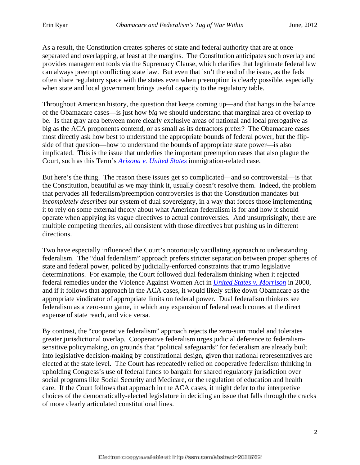As a result, the Constitution creates spheres of state and federal authority that are at once separated and overlapping, at least at the margins. The Constitution anticipates such overlap and provides management tools via the Supremacy Clause, which clarifies that legitimate federal law can always preempt conflicting state law. But even that isn't the end of the issue, as the feds often share regulatory space with the states even when preemption is clearly possible, especially when state and local government brings useful capacity to the regulatory table.

Throughout American history, the question that keeps coming up—and that hangs in the balance of the Obamacare cases—is just how *big* we should understand that marginal area of overlap to be. Is that gray area between more clearly exclusive areas of national and local prerogative as big as the ACA proponents contend, or as small as its detractors prefer? The Obamacare cases most directly ask how best to understand the appropriate bounds of federal power, but the flipside of that question—how to understand the bounds of appropriate state power—is also implicated. This is the issue that underlies the important preemption cases that also plague the Court, such as this Term's *Arizona v. United States* immigration-related case.

But here's the thing. The reason these issues get so complicated—and so controversial—is that the Constitution, beautiful as we may think it, usually doesn't resolve them. Indeed, the problem that pervades all federalism/preemption controversies is that the Constitution mandates but *incompletely describes* our system of dual sovereignty, in a way that forces those implementing it to rely on some external theory about what American federalism is for and how it should operate when applying its vague directives to actual controversies. And unsurprisingly, there are multiple competing theories, all consistent with those directives but pushing us in different directions.

Two have especially influenced the Court's notoriously vacillating approach to understanding federalism. The "dual federalism" approach prefers stricter separation between proper spheres of state and federal power, policed by judicially-enforced constraints that trump legislative determinations. For example, the Court followed dual federalism thinking when it rejected federal remedies under the Violence Against Women Act in *United States v. Morrison* in 2000, and if it follows that approach in the ACA cases, it would likely strike down Obamacare as the appropriate vindicator of appropriate limits on federal power. Dual federalism thinkers see federalism as a zero-sum game, in which any expansion of federal reach comes at the direct expense of state reach, and vice versa.

By contrast, the "cooperative federalism" approach rejects the zero-sum model and tolerates greater jurisdictional overlap. Cooperative federalism urges judicial deference to federalismsensitive policymaking, on grounds that "political safeguards" for federalism are already built into legislative decision-making by constitutional design, given that national representatives are elected at the state level. The Court has repeatedly relied on cooperative federalism thinking in upholding Congress's use of federal funds to bargain for shared regulatory jurisdiction over social programs like Social Security and Medicare, or the regulation of education and health care. If the Court follows that approach in the ACA cases, it might defer to the interpretive choices of the democratically-elected legislature in deciding an issue that falls through the cracks of more clearly articulated constitutional lines.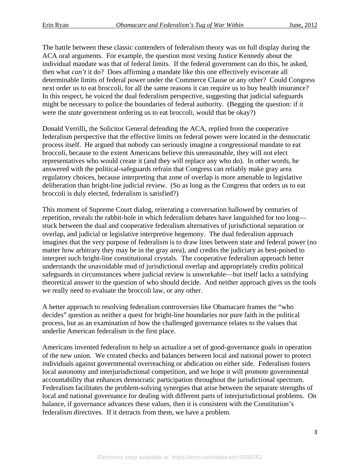The battle between these classic contenders of federalism theory was on full display during the ACA oral arguments. For example, the question most vexing Justice Kennedy about the individual mandate was that of federal limits. If the federal government can do this, he asked, then what *can't* it do? Does affirming a mandate like this one effectively eviscerate all determinable limits of federal power under the Commerce Clause or any other? Could Congress next order us to eat broccoli, for all the same reasons it can require us to buy health insurance? In this respect, he voiced the dual federalism perspective, suggesting that judicial safeguards might be necessary to police the boundaries of federal authority. (Begging the question: if it were the *state* government ordering us to eat broccoli, would that be okay?)

Donald Verrilli, the Solicitor General defending the ACA, replied from the cooperative federalism perspective that the effective limits on federal power were located in the democratic process itself. He argued that nobody can seriously imagine a congressional mandate to eat broccoli, because to the extent Americans believe this unreasonable, they will not elect representatives who would create it (and they will replace any who do). In other words, he answered with the political-safeguards refrain that Congress can reliably make gray area regulatory choices, because interpreting that zone of overlap is more amenable to legislative deliberation than bright-line judicial review. (So as long as the Congress that orders us to eat broccoli is duly elected, federalism is satisfied?)

This moment of Supreme Court dialog, reiterating a conversation hallowed by centuries of repetition, reveals the rabbit-hole in which federalism debates have languished for too long stuck between the dual and cooperative federalism alternatives of jurisdictional separation or overlap, and judicial or legislative interpretive hegemony. The dual federalism approach imagines that the very purpose of federalism is to draw lines between state and federal power (no matter how arbitrary they may be in the gray area), and credits the judiciary as best-poised to interpret such bright-line constitutional crystals. The cooperative federalism approach better understands the unavoidable mud of jurisdictional overlap and appropriately credits political safeguards in circumstances where judicial review is unworkable—but itself lacks a satisfying theoretical answer to the question of who should decide. And neither approach gives us the tools we really need to evaluate the broccoli law, or any other.

A better approach to resolving federalism controversies like Obamacare frames the "who decides" question as neither a quest for bright-line boundaries nor pure faith in the political process, but as an examination of how the challenged governance relates to the values that underlie American federalism in the first place.

Americans invented federalism to help us actualize a set of good-governance goals in operation of the new union. We created checks and balances between local and national power to protect individuals against governmental overreaching or abdication on either side. Federalism fosters local autonomy and interjurisdictional competition, and we hope it will promote governmental accountability that enhances democratic participation throughout the jurisdictional spectrum. Federalism facilitates the problem-solving synergies that arise between the separate strengths of local and national governance for dealing with different parts of interjurisdictional problems. On balance, if governance advances these values, then it is consistent with the Constitution's federalism directives. If it detracts from them, we have a problem.

Electronic copy available at: https://ssrn.com/abstract=2088762